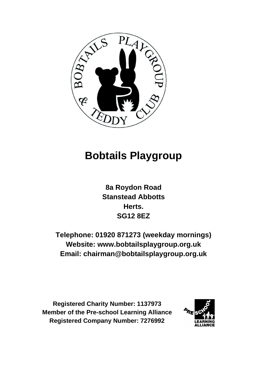

# **Bobtails Playgroup**

**8a Roydon Road Stanstead Abbotts Herts. SG12 8EZ**

**Telephone: 01920 871273 (weekday mornings) Website: www.bobtailsplaygroup.org.uk Email: chairman@bobtailsplaygroup.org.uk**

**Registered Charity Number: 1137973 Member of the Pre-school Learning Alliance Registered Company Number: 7276992**

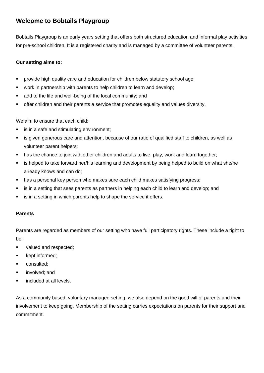## **Welcome to Bobtails Playgroup**

Bobtails Playgroup is an early years setting that offers both structured education and informal play activities for pre-school children. It is a registered charity and is managed by a committee of volunteer parents.

## **Our setting aims to:**

- provide high quality care and education for children below statutory school age;
- work in partnership with parents to help children to learn and develop;
- add to the life and well-being of the local community; and
- **•** offer children and their parents a service that promotes equality and values diversity.

We aim to ensure that each child:

- is in a safe and stimulating environment;
- is given generous care and attention, because of our ratio of qualified staff to children, as well as volunteer parent helpers;
- has the chance to join with other children and adults to live, play, work and learn together;
- is helped to take forward her/his learning and development by being helped to build on what she/he already knows and can do;
- has a personal key person who makes sure each child makes satisfying progress;
- **EXTE:** is in a setting that sees parents as partners in helping each child to learn and develop; and
- is in a setting in which parents help to shape the service it offers.

## **Parents**

Parents are regarded as members of our setting who have full participatory rights. These include a right to be:

- valued and respected;
- kept informed;
- consulted;
- involved; and
- included at all levels.

As a community based, voluntary managed setting, we also depend on the good will of parents and their involvement to keep going. Membership of the setting carries expectations on parents for their support and commitment.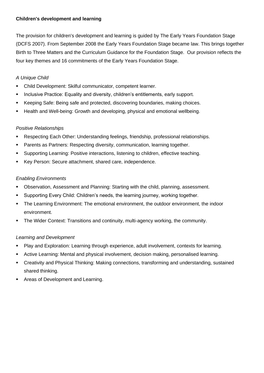## **Children's development and learning**

The provision for children's development and learning is guided by The Early Years Foundation Stage (DCFS 2007). From September 2008 the Early Years Foundation Stage became law. This brings together Birth to Three Matters and the Curriculum Guidance for the Foundation Stage. Our provision reflects the four key themes and 16 commitments of the Early Years Foundation Stage.

## *A Unique Child*

- Child Development: Skilful communicator, competent learner.
- Inclusive Practice: Equality and diversity, children's entitlements, early support.
- Keeping Safe: Being safe and protected, discovering boundaries, making choices.
- Health and Well-being: Growth and developing, physical and emotional wellbeing.

## *Positive Relationships*

- Respecting Each Other: Understanding feelings, friendship, professional relationships.
- **•** Parents as Partners: Respecting diversity, communication, learning together.
- Supporting Learning: Positive interactions, listening to children, effective teaching.
- Key Person: Secure attachment, shared care, independence.

## *Enabling Environments*

- Observation, Assessment and Planning: Starting with the child, planning, assessment.
- Supporting Every Child: Children's needs, the learning journey, working together.
- The Learning Environment: The emotional environment, the outdoor environment, the indoor environment.
- The Wider Context: Transitions and continuity, multi-agency working, the community.

## *Learning and Development*

- Play and Exploration: Learning through experience, adult involvement, contexts for learning.
- Active Learning: Mental and physical involvement, decision making, personalised learning.
- Creativity and Physical Thinking: Making connections, transforming and understanding, sustained shared thinking.
- Areas of Development and Learning.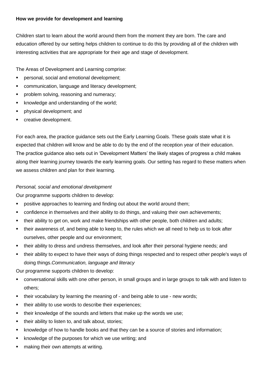## **How we provide for development and learning**

Children start to learn about the world around them from the moment they are born. The care and education offered by our setting helps children to continue to do this by providing all of the children with interesting activities that are appropriate for their age and stage of development.

The Areas of Development and Learning comprise:

- personal, social and emotional development;
- communication, language and literacy development;
- problem solving, reasoning and numeracy;
- knowledge and understanding of the world;
- physical development; and
- creative development.

For each area, the practice guidance sets out the Early Learning Goals. These goals state what it is expected that children will know and be able to do by the end of the reception year of their education. The practice guidance also sets out in 'Development Matters' the likely stages of progress a child makes along their learning journey towards the early learning goals. Our setting has regard to these matters when we assess children and plan for their learning.

#### *Personal, social and emotional development*

Our programme supports children to develop:

- positive approaches to learning and finding out about the world around them;
- **•** confidence in themselves and their ability to do things, and valuing their own achievements;
- . their ability to get on, work and make friendships with other people, both children and adults;
- their awareness of, and being able to keep to, the rules which we all need to help us to look after ourselves, other people and our environment;
- their ability to dress and undress themselves, and look after their personal hygiene needs; and
- their ability to expect to have their ways of doing things respected and to respect other people's ways of doing things.*Communication, language and literacy*

Our programme supports children to develop:

- conversational skills with one other person, in small groups and in large groups to talk with and listen to others;
- their vocabulary by learning the meaning of and being able to use new words;
- their ability to use words to describe their experiences;
- their knowledge of the sounds and letters that make up the words we use:
- their ability to listen to, and talk about, stories;
- knowledge of how to handle books and that they can be a source of stories and information;
- knowledge of the purposes for which we use writing; and
- making their own attempts at writing.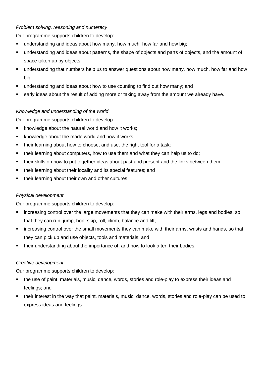## *Problem solving, reasoning and numeracy*

Our programme supports children to develop:

- understanding and ideas about how many, how much, how far and how big;
- understanding and ideas about patterns, the shape of objects and parts of objects, and the amount of space taken up by objects;
- **■** understanding that numbers help us to answer questions about how many, how much, how far and how big;
- understanding and ideas about how to use counting to find out how many; and
- early ideas about the result of adding more or taking away from the amount we already have.

## *Knowledge and understanding of the world*

Our programme supports children to develop:

- knowledge about the natural world and how it works;
- knowledge about the made world and how it works;
- their learning about how to choose, and use, the right tool for a task;
- their learning about computers, how to use them and what they can help us to do;
- their skills on how to put together ideas about past and present and the links between them;
- their learning about their locality and its special features; and
- their learning about their own and other cultures.

## *Physical development*

Our programme supports children to develop:

- increasing control over the large movements that they can make with their arms, legs and bodies, so that they can run, jump, hop, skip, roll, climb, balance and lift;
- increasing control over the small movements they can make with their arms, wrists and hands, so that they can pick up and use objects, tools and materials; and
- their understanding about the importance of, and how to look after, their bodies.

## *Creative development*

Our programme supports children to develop:

- the use of paint, materials, music, dance, words, stories and role-play to express their ideas and feelings; and
- their interest in the way that paint, materials, music, dance, words, stories and role-play can be used to express ideas and feelings.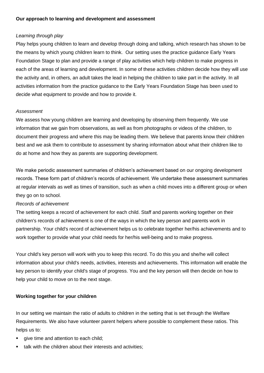## *Learning through play*

Play helps young children to learn and develop through doing and talking, which research has shown to be the means by which young children learn to think. Our setting uses the practice guidance Early Years Foundation Stage to plan and provide a range of play activities which help children to make progress in each of the areas of learning and development. In some of these activities children decide how they will use the activity and, in others, an adult takes the lead in helping the children to take part in the activity. In all activities information from the practice guidance to the Early Years Foundation Stage has been used to decide what equipment to provide and how to provide it.

#### *Assessment*

We assess how young children are learning and developing by observing them frequently. We use information that we gain from observations, as well as from photographs or videos of the children, to document their progress and where this may be leading them. We believe that parents know their children best and we ask them to contribute to assessment by sharing information about what their children like to do at home and how they as parents are supporting development.

We make periodic assessment summaries of children's achievement based on our ongoing development records. These form part of children's records of achievement. We undertake these assessment summaries at regular intervals as well as times of transition, such as when a child moves into a different group or when they go on to school.

#### *Records of achievement*

The setting keeps a record of achievement for each child. Staff and parents working together on their children's records of achievement is one of the ways in which the key person and parents work in partnership. Your child's record of achievement helps us to celebrate together her/his achievements and to work together to provide what your child needs for her/his well-being and to make progress.

Your child's key person will work with you to keep this record. To do this you and she/he will collect information about your child's needs, activities, interests and achievements. This information will enable the key person to identify your child's stage of progress. You and the key person will then decide on how to help your child to move on to the next stage.

#### **Working together for your children**

In our setting we maintain the ratio of adults to children in the setting that is set through the Welfare Requirements. We also have volunteer parent helpers where possible to complement these ratios. This helps us to:

- give time and attention to each child;
- talk with the children about their interests and activities;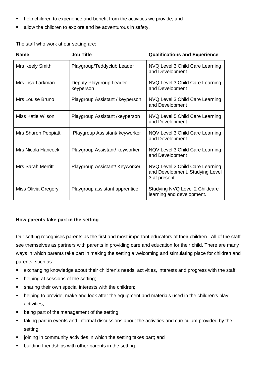- help children to experience and benefit from the activities we provide; and
- allow the children to explore and be adventurous in safety.

The staff who work at our setting are:

| <b>Name</b>              | <b>Job Title</b>                     | <b>Qualifications and Experience</b>                                                |
|--------------------------|--------------------------------------|-------------------------------------------------------------------------------------|
| Mrs Keely Smith          | Playgroup/Teddyclub Leader           | NVQ Level 3 Child Care Learning<br>and Development                                  |
| Mrs Lisa Larkman         | Deputy Playgroup Leader<br>keyperson | NVQ Level 3 Child Care Learning<br>and Development                                  |
| Mrs Louise Bruno         | Playgroup Assistant / keyperson      | NVQ Level 3 Child Care Learning<br>and Development                                  |
| Miss Katie Wilson        | Playgroup Assistant / keyperson      | NVQ Level 5 Child Care Learning<br>and Development                                  |
| Mrs Sharon Peppiatt      | Playgroup Assistant/ keyworker       | NQV Level 3 Child Care Learning<br>and Development                                  |
| Mrs Nicola Hancock       | Playgroup Assistant/ keyworker       | NQV Level 3 Child Care Learning<br>and Development                                  |
| <b>Mrs Sarah Merritt</b> | Playgroup Assistant/ Keyworker       | NVQ Level 2 Child Care Learning<br>and Development. Studying Level<br>3 at present. |
| Miss Olivia Gregory      | Playgroup assistant apprentice       | Studying NVQ Level 2 Childcare<br>learning and development.                         |

#### **How parents take part in the setting**

Our setting recognises parents as the first and most important educators of their children. All of the staff see themselves as partners with parents in providing care and education for their child. There are many ways in which parents take part in making the setting a welcoming and stimulating place for children and parents, such as:

- exchanging knowledge about their children's needs, activities, interests and progress with the staff;
- helping at sessions of the setting;
- sharing their own special interests with the children;
- helping to provide, make and look after the equipment and materials used in the children's play activities;
- being part of the management of the setting;
- taking part in events and informal discussions about the activities and curriculum provided by the setting;
- joining in community activities in which the setting takes part; and
- building friendships with other parents in the setting.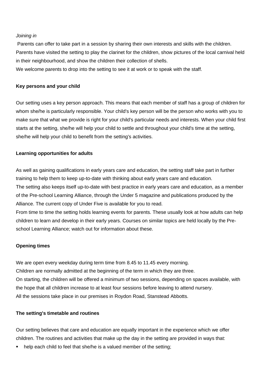#### *Joining in*

Parents can offer to take part in a session by sharing their own interests and skills with the children. Parents have visited the setting to play the clarinet for the children, show pictures of the local carnival held in their neighbourhood, and show the children their collection of shells.

We welcome parents to drop into the setting to see it at work or to speak with the staff.

#### **Key persons and your child**

Our setting uses a key person approach. This means that each member of staff has a group of children for whom she/he is particularly responsible. Your child's key person will be the person who works with you to make sure that what we provide is right for your child's particular needs and interests. When your child first starts at the setting, she/he will help your child to settle and throughout your child's time at the setting, she/he will help your child to benefit from the setting's activities.

#### **Learning opportunities for adults**

As well as gaining qualifications in early years care and education, the setting staff take part in further training to help them to keep up-to-date with thinking about early years care and education. The setting also keeps itself up-to-date with best practice in early years care and education, as a member of the Pre-school Learning Alliance, through the Under 5 magazine and publications produced by the Alliance. The current copy of Under Five is available for you to read.

From time to time the setting holds learning events for parents. These usually look at how adults can help children to learn and develop in their early years. Courses on similar topics are held locally by the Preschool Learning Alliance; watch out for information about these.

#### **Opening times**

We are open every weekday during term time from 8.45 to 11.45 every morning. Children are normally admitted at the beginning of the term in which they are three. On starting, the children will be offered a minimum of two sessions, depending on spaces available, with the hope that all children increase to at least four sessions before leaving to attend nursery. All the sessions take place in our premises in Roydon Road, Stanstead Abbotts.

#### **The setting's timetable and routines**

Our setting believes that care and education are equally important in the experience which we offer children. The routines and activities that make up the day in the setting are provided in ways that:

help each child to feel that she/he is a valued member of the setting;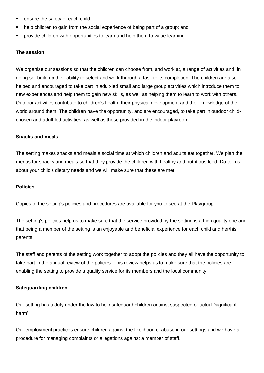- ensure the safety of each child;
- help children to gain from the social experience of being part of a group; and
- provide children with opportunities to learn and help them to value learning.

#### **The session**

We organise our sessions so that the children can choose from, and work at, a range of activities and, in doing so, build up their ability to select and work through a task to its completion. The children are also helped and encouraged to take part in adult-led small and large group activities which introduce them to new experiences and help them to gain new skills, as well as helping them to learn to work with others. Outdoor activities contribute to children's health, their physical development and their knowledge of the world around them. The children have the opportunity, and are encouraged, to take part in outdoor childchosen and adult-led activities, as well as those provided in the indoor playroom.

#### **Snacks and meals**

The setting makes snacks and meals a social time at which children and adults eat together. We plan the menus for snacks and meals so that they provide the children with healthy and nutritious food. Do tell us about your child's dietary needs and we will make sure that these are met.

#### **Policies**

Copies of the setting's policies and procedures are available for you to see at the Playgroup.

The setting's policies help us to make sure that the service provided by the setting is a high quality one and that being a member of the setting is an enjoyable and beneficial experience for each child and her/his parents.

The staff and parents of the setting work together to adopt the policies and they all have the opportunity to take part in the annual review of the policies. This review helps us to make sure that the policies are enabling the setting to provide a quality service for its members and the local community.

#### **Safeguarding children**

Our setting has a duty under the law to help safeguard children against suspected or actual 'significant harm'.

Our employment practices ensure children against the likelihood of abuse in our settings and we have a procedure for managing complaints or allegations against a member of staff.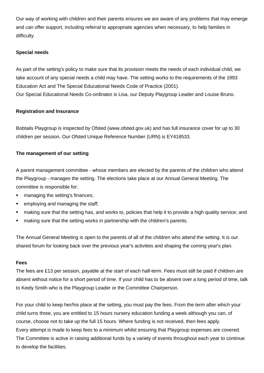Our way of working with children and their parents ensures we are aware of any problems that may emerge and can offer support, including referral to appropriate agencies when necessary, to help families in difficulty.

#### **Special needs**

As part of the setting's policy to make sure that its provision meets the needs of each individual child, we take account of any special needs a child may have. The setting works to the requirements of the 1993 Education Act and The Special Educational Needs Code of Practice (2001). Our Special Educational Needs Co-ordinator is Lisa, our Deputy Playgroup Leader and Louise Bruno.

## **Registration and Insurance**

Bobtails Playgroup is inspected by Ofsted (www.ofsted.gov.uk) and has full insurance cover for up to 30 children per session. Our Ofsted Unique Reference Number (URN) is EY418533.

## **The management of our setting**

A parent management committee - whose members are elected by the parents of the children who attend the Playgroup - manages the setting. The elections take place at our Annual General Meeting. The committee is responsible for:

- managing the setting's finances;
- employing and managing the staff;
- making sure that the setting has, and works to, policies that help it to provide a high quality service; and
- making sure that the setting works in partnership with the children's parents.

The Annual General Meeting is open to the parents of all of the children who attend the setting. It is our shared forum for looking back over the previous year's activities and shaping the coming year's plan.

#### **Fees**

The fees are £13 per session, payable at the start of each half-term. Fees must still be paid if children are absent without notice for a short period of time. If your child has to be absent over a long period of time, talk to Keely Smith who is the Playgroup Leader or the Committee Chairperson.

For your child to keep her/his place at the setting, you must pay the fees. From the term after which your child turns three, you are entitled to 15 hours nursery education funding a week although you can, of course, choose not to take up the full 15 hours. Where funding is not received, then fees apply. Every attempt is made to keep fees to a minimum whilst ensuring that Playgroup expenses are covered. The Committee is active in raising additional funds by a variety of events throughout each year to continue to develop the facilities.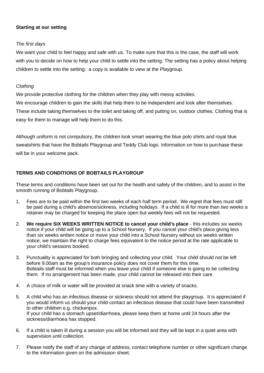## **Starting at our setting**

## *The first days*

We want your child to feel happy and safe with us. To make sure that this is the case, the staff will work with you to decide on how to help your child to settle into the setting. The setting has a policy about helping children to settle into the setting: a copy is available to view at the Playgroup.

## *Clothing*

We provide protective clothing for the children when they play with messy activities.

We encourage children to gain the skills that help them to be independent and look after themselves.

These include taking themselves to the toilet and taking off, and putting on, outdoor clothes. Clothing that is easy for them to manage will help them to do this.

Although uniform is not compulsory, the children look smart wearing the blue polo shirts and royal blue sweatshirts that have the Bobtails Playgroup and Teddy Club logo. Information on how to purchase these will be in your welcome pack.

## **TERMS AND CONDITIONS OF BOBTAILS PLAYGROUP**

These terms and conditions have been set out for the health and safety of the children, and to assist in the smooth running of Bobtails Playgroup.

- 1. Fees are to be paid within the first two weeks of each half term period. We regret that fees must still be paid during a child's absence/sickness, including holidays. If a child is ill for more than two weeks a retainer may be charged for keeping the place open but weekly fees will not be requested.
- 2. **We require SIX WEEKS WRITTEN NOTICE to cancel your child's place** this includes six weeks notice if your child will be going up to a School Nursery. If you cancel your child's place giving less than six weeks written notice or move your child into a School Nursery without six weeks written notice, we maintain the right to charge fees equivalent to the notice period at the rate applicable to your child's sessions booked.
- 3. Punctuality is appreciated for both bringing and collecting your child. Your child should not be left before 9.00am as the group's insurance policy does not cover them for this time. Bobtails staff must be informed when you leave your child if someone else is going to be collecting them. If no arrangement has been made, your child cannot be released into their care.
- 4. A choice of milk or water will be provided at snack time with a variety of snacks.
- 5. A child who has an infectious disease or sickness should not attend the playgroup. It is appreciated if you would inform us should your child contact an infectious disease that could have been transmitted to other children e.g. chickenpox. If your child has a stomach upset/diarrhoea, please keep them at home until 24 hours after the sickness/diarrhoea has stopped.
- 6. If a child is taken ill during a session you will be informed and they will be kept in a quiet area with supervision until collection.
- 7. Please notify the staff of any change of address, contact telephone number or other significant change to the information given on the admission sheet.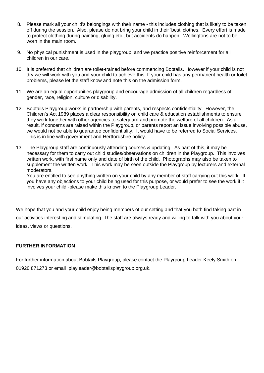- 8. Please mark all your child's belongings with their name this includes clothing that is likely to be taken off during the session. Also, please do not bring your child in their 'best' clothes. Every effort is made to protect clothing during painting, gluing etc., but accidents do happen. Wellingtons are not to be worn in the main room.
- 9. No physical punishment is used in the playgroup, and we practice positive reinforcement for all children in our care.
- 10. It is preferred that children are toilet-trained before commencing Bobtails. However if your child is not dry we will work with you and your child to achieve this. If your child has any permanent health or toilet problems, please let the staff know and note this on the admission form.
- 11. We are an equal opportunities playgroup and encourage admission of all children regardless of gender, race, religion, culture or disability.
- 12. Bobtails Playgroup works in partnership with parents, and respects confidentiality. However, the Children's Act 1989 places a clear responsibility on child care & education establishments to ensure they work together with other agencies to safeguard and promote the welfare of all children. As a result, if concerns are raised within the Playgroup, or parents report an issue involving possible abuse, we would not be able to guarantee confidentiality. It would have to be referred to Social Services. This is in line with government and Hertfordshire policy.
- 13. The Playgroup staff are continuously attending courses & updating. As part of this, it may be necessary for them to carry out child studies/observations on children in the Playgroup. This involves written work, with first name only and date of birth of the child. Photographs may also be taken to supplement the written work. This work may be seen outside the Playgroup by lecturers and external moderators.

You are entitled to see anything written on your child by any member of staff carrying out this work. If you have any objections to your child being used for this purpose, or would prefer to see the work if it involves your child -please make this known to the Playgroup Leader.

We hope that you and your child enjoy being members of our setting and that you both find taking part in our activities interesting and stimulating. The staff are always ready and willing to talk with you about your ideas, views or questions.

## **FURTHER INFORMATION**

For further information about Bobtails Playgroup, please contact the Playgroup Leader Keely Smith on 01920 871273 or email playleader@bobtailsplaygroup.org.uk.